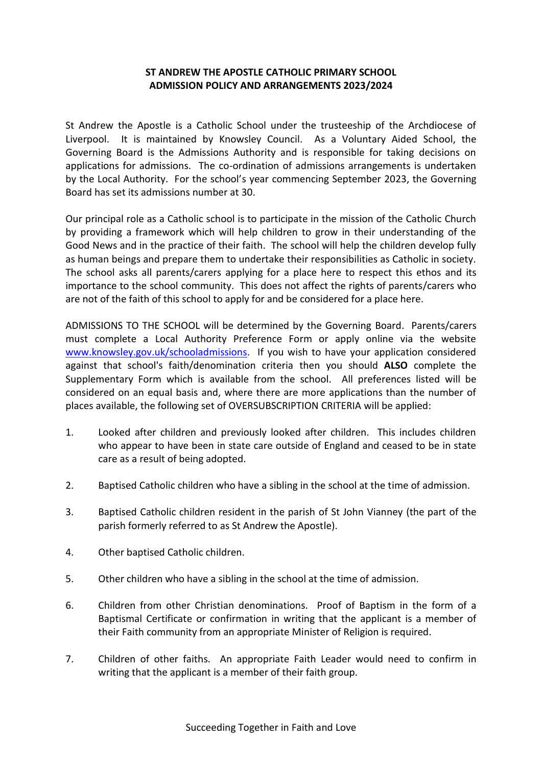## **ST ANDREW THE APOSTLE CATHOLIC PRIMARY SCHOOL ADMISSION POLICY AND ARRANGEMENTS 2023/2024**

St Andrew the Apostle is a Catholic School under the trusteeship of the Archdiocese of Liverpool. It is maintained by Knowsley Council. As a Voluntary Aided School, the Governing Board is the Admissions Authority and is responsible for taking decisions on applications for admissions. The co-ordination of admissions arrangements is undertaken by the Local Authority. For the school's year commencing September 2023, the Governing Board has set its admissions number at 30.

Our principal role as a Catholic school is to participate in the mission of the Catholic Church by providing a framework which will help children to grow in their understanding of the Good News and in the practice of their faith. The school will help the children develop fully as human beings and prepare them to undertake their responsibilities as Catholic in society. The school asks all parents/carers applying for a place here to respect this ethos and its importance to the school community. This does not affect the rights of parents/carers who are not of the faith of this school to apply for and be considered for a place here.

ADMISSIONS TO THE SCHOOL will be determined by the Governing Board. Parents/carers must complete a Local Authority Preference Form or apply online via the website [www.knowsley.gov.uk/schooladmissions.](http://www.knowsley.gov.uk/schooladmissions) If you wish to have your application considered against that school's faith/denomination criteria then you should **ALSO** complete the Supplementary Form which is available from the school. All preferences listed will be considered on an equal basis and, where there are more applications than the number of places available, the following set of OVERSUBSCRIPTION CRITERIA will be applied:

- 1. Looked after children and previously looked after children. This includes children who appear to have been in state care outside of England and ceased to be in state care as a result of being adopted.
- 2. Baptised Catholic children who have a sibling in the school at the time of admission.
- 3. Baptised Catholic children resident in the parish of St John Vianney (the part of the parish formerly referred to as St Andrew the Apostle).
- 4. Other baptised Catholic children.
- 5. Other children who have a sibling in the school at the time of admission.
- 6. Children from other Christian denominations. Proof of Baptism in the form of a Baptismal Certificate or confirmation in writing that the applicant is a member of their Faith community from an appropriate Minister of Religion is required.
- 7. Children of other faiths. An appropriate Faith Leader would need to confirm in writing that the applicant is a member of their faith group.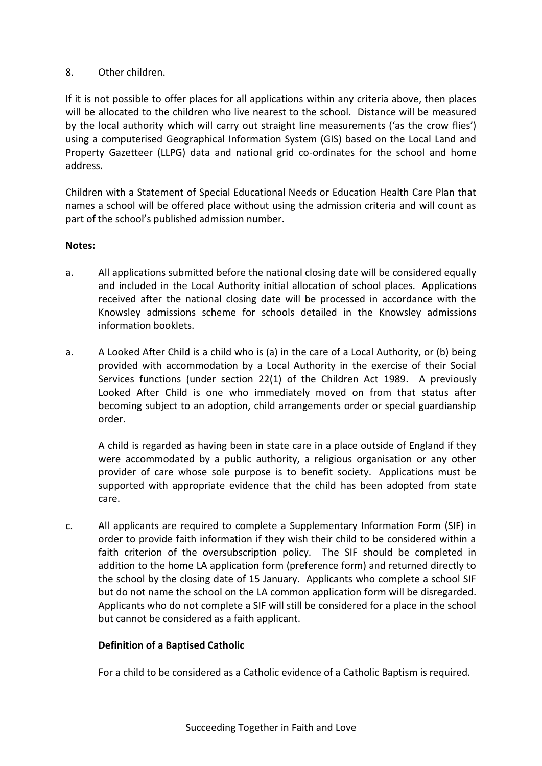## 8. Other children.

If it is not possible to offer places for all applications within any criteria above, then places will be allocated to the children who live nearest to the school. Distance will be measured by the local authority which will carry out straight line measurements ('as the crow flies') using a computerised Geographical Information System (GIS) based on the Local Land and Property Gazetteer (LLPG) data and national grid co-ordinates for the school and home address.

Children with a Statement of Special Educational Needs or Education Health Care Plan that names a school will be offered place without using the admission criteria and will count as part of the school's published admission number.

## **Notes:**

- a. All applications submitted before the national closing date will be considered equally and included in the Local Authority initial allocation of school places. Applications received after the national closing date will be processed in accordance with the Knowsley admissions scheme for schools detailed in the Knowsley admissions information booklets.
- a. A Looked After Child is a child who is (a) in the care of a Local Authority, or (b) being provided with accommodation by a Local Authority in the exercise of their Social Services functions (under section 22(1) of the Children Act 1989. A previously Looked After Child is one who immediately moved on from that status after becoming subject to an adoption, child arrangements order or special guardianship order.

A child is regarded as having been in state care in a place outside of England if they were accommodated by a public authority, a religious organisation or any other provider of care whose sole purpose is to benefit society. Applications must be supported with appropriate evidence that the child has been adopted from state care.

c. All applicants are required to complete a Supplementary Information Form (SIF) in order to provide faith information if they wish their child to be considered within a faith criterion of the oversubscription policy. The SIF should be completed in addition to the home LA application form (preference form) and returned directly to the school by the closing date of 15 January. Applicants who complete a school SIF but do not name the school on the LA common application form will be disregarded. Applicants who do not complete a SIF will still be considered for a place in the school but cannot be considered as a faith applicant.

## **Definition of a Baptised Catholic**

For a child to be considered as a Catholic evidence of a Catholic Baptism is required.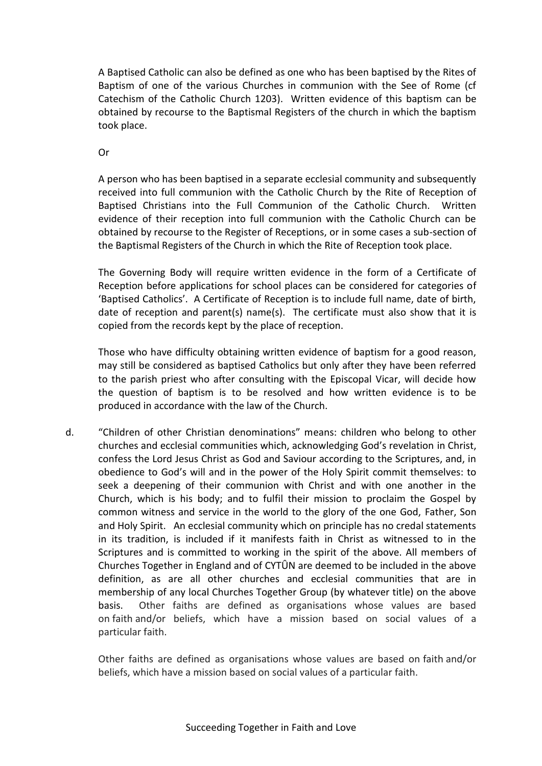A Baptised Catholic can also be defined as one who has been baptised by the Rites of Baptism of one of the various Churches in communion with the See of Rome (cf Catechism of the Catholic Church 1203). Written evidence of this baptism can be obtained by recourse to the Baptismal Registers of the church in which the baptism took place.

Or

A person who has been baptised in a separate ecclesial community and subsequently received into full communion with the Catholic Church by the Rite of Reception of Baptised Christians into the Full Communion of the Catholic Church. Written evidence of their reception into full communion with the Catholic Church can be obtained by recourse to the Register of Receptions, or in some cases a sub-section of the Baptismal Registers of the Church in which the Rite of Reception took place.

The Governing Body will require written evidence in the form of a Certificate of Reception before applications for school places can be considered for categories of 'Baptised Catholics'. A Certificate of Reception is to include full name, date of birth, date of reception and parent(s) name(s). The certificate must also show that it is copied from the records kept by the place of reception.

Those who have difficulty obtaining written evidence of baptism for a good reason, may still be considered as baptised Catholics but only after they have been referred to the parish priest who after consulting with the Episcopal Vicar, will decide how the question of baptism is to be resolved and how written evidence is to be produced in accordance with the law of the Church.

d. "Children of other Christian denominations" means: children who belong to other churches and ecclesial communities which, acknowledging God's revelation in Christ, confess the Lord Jesus Christ as God and Saviour according to the Scriptures, and, in obedience to God's will and in the power of the Holy Spirit commit themselves: to seek a deepening of their communion with Christ and with one another in the Church, which is his body; and to fulfil their mission to proclaim the Gospel by common witness and service in the world to the glory of the one God, Father, Son and Holy Spirit. An ecclesial community which on principle has no credal statements in its tradition, is included if it manifests faith in Christ as witnessed to in the Scriptures and is committed to working in the spirit of the above. All members of Churches Together in England and of CYTÛN are deemed to be included in the above definition, as are all other churches and ecclesial communities that are in membership of any local Churches Together Group (by whatever title) on the above basis. Other faiths are defined as organisations whose values are based on faith and/or beliefs, which have a mission based on social values of a particular faith.

Other faiths are defined as organisations whose values are based on faith and/or beliefs, which have a mission based on social values of a particular faith.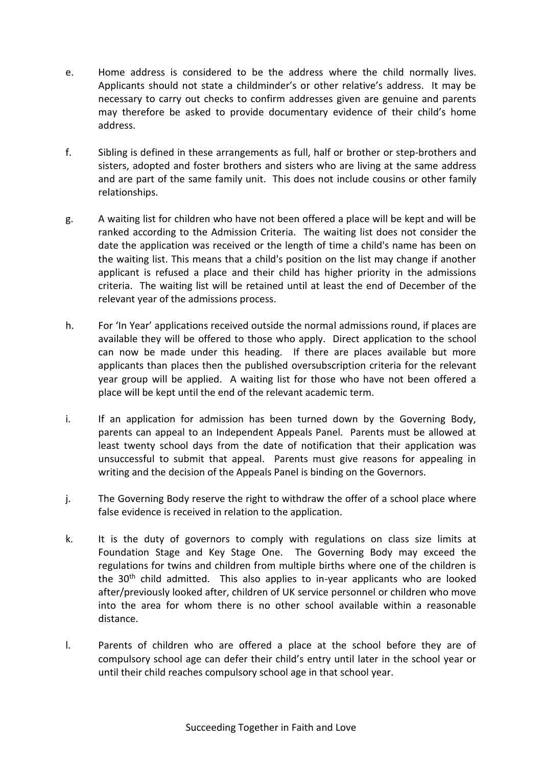- e. Home address is considered to be the address where the child normally lives. Applicants should not state a childminder's or other relative's address. It may be necessary to carry out checks to confirm addresses given are genuine and parents may therefore be asked to provide documentary evidence of their child's home address.
- f. Sibling is defined in these arrangements as full, half or brother or step-brothers and sisters, adopted and foster brothers and sisters who are living at the same address and are part of the same family unit. This does not include cousins or other family relationships.
- g. A waiting list for children who have not been offered a place will be kept and will be ranked according to the Admission Criteria. The waiting list does not consider the date the application was received or the length of time a child's name has been on the waiting list. This means that a child's position on the list may change if another applicant is refused a place and their child has higher priority in the admissions criteria. The waiting list will be retained until at least the end of December of the relevant year of the admissions process.
- h. For 'In Year' applications received outside the normal admissions round, if places are available they will be offered to those who apply. Direct application to the school can now be made under this heading. If there are places available but more applicants than places then the published oversubscription criteria for the relevant year group will be applied. A waiting list for those who have not been offered a place will be kept until the end of the relevant academic term.
- i. If an application for admission has been turned down by the Governing Body, parents can appeal to an Independent Appeals Panel. Parents must be allowed at least twenty school days from the date of notification that their application was unsuccessful to submit that appeal. Parents must give reasons for appealing in writing and the decision of the Appeals Panel is binding on the Governors.
- j. The Governing Body reserve the right to withdraw the offer of a school place where false evidence is received in relation to the application.
- k. It is the duty of governors to comply with regulations on class size limits at Foundation Stage and Key Stage One. The Governing Body may exceed the regulations for twins and children from multiple births where one of the children is the  $30<sup>th</sup>$  child admitted. This also applies to in-year applicants who are looked after/previously looked after, children of UK service personnel or children who move into the area for whom there is no other school available within a reasonable distance.
- l. Parents of children who are offered a place at the school before they are of compulsory school age can defer their child's entry until later in the school year or until their child reaches compulsory school age in that school year.